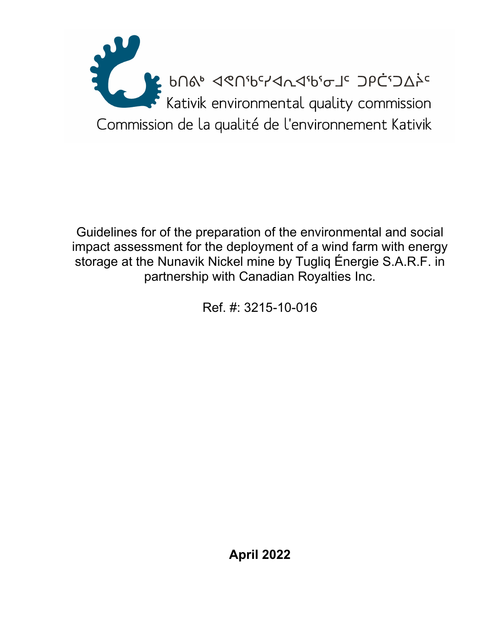

Guidelines for of the preparation of the environmental and social impact assessment for the deployment of a wind farm with energy storage at the Nunavik Nickel mine by Tugliq Énergie S.A.R.F. in partnership with Canadian Royalties Inc.

Ref. #: 3215-10-016

**April 2022**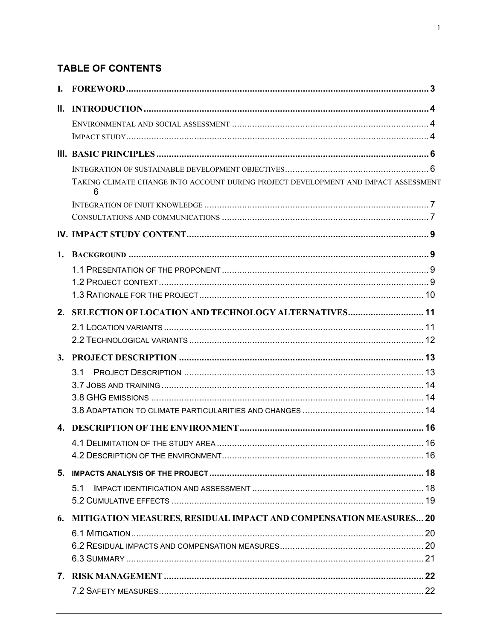# **TABLE OF CONTENTS**

| Ш. |                                                                                          |  |
|----|------------------------------------------------------------------------------------------|--|
|    |                                                                                          |  |
|    |                                                                                          |  |
|    |                                                                                          |  |
|    |                                                                                          |  |
|    | TAKING CLIMATE CHANGE INTO ACCOUNT DURING PROJECT DEVELOPMENT AND IMPACT ASSESSMENT<br>6 |  |
|    |                                                                                          |  |
|    |                                                                                          |  |
|    |                                                                                          |  |
|    |                                                                                          |  |
|    |                                                                                          |  |
|    |                                                                                          |  |
|    |                                                                                          |  |
|    | 2. SELECTION OF LOCATION AND TECHNOLOGY ALTERNATIVES 11                                  |  |
|    |                                                                                          |  |
|    |                                                                                          |  |
|    |                                                                                          |  |
|    | 3.1                                                                                      |  |
|    |                                                                                          |  |
|    |                                                                                          |  |
|    |                                                                                          |  |
|    |                                                                                          |  |
|    |                                                                                          |  |
|    |                                                                                          |  |
|    |                                                                                          |  |
|    | 5.1                                                                                      |  |
|    |                                                                                          |  |
| 6. | <b>MITIGATION MEASURES, RESIDUAL IMPACT AND COMPENSATION MEASURES 20</b>                 |  |
|    |                                                                                          |  |
|    |                                                                                          |  |
|    |                                                                                          |  |
|    |                                                                                          |  |
|    |                                                                                          |  |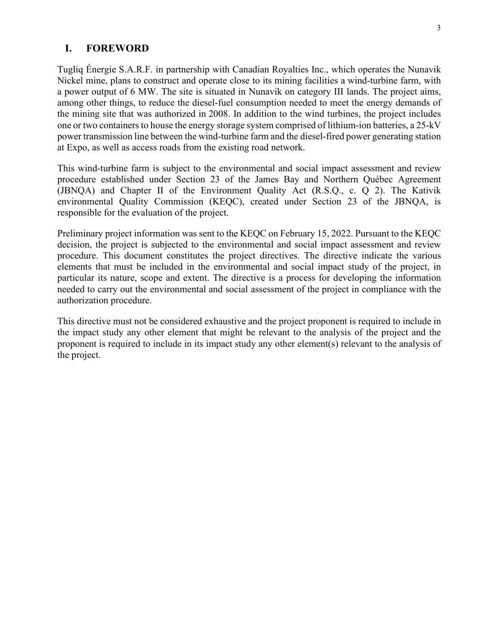#### **I. FOREWORD**

Tugliq Énergie S.A.R.F. in partnership with Canadian Royalties Inc., which operates the Nunavik Nickel mine, plans to construct and operate close to its mining facilities a wind-turbine farm, with a power output of 6 MW. The site is situated in Nunavik on category III lands. The project aims, among other things, to reduce the diesel-fuel consumption needed to meet the energy demands of the mining site that was authorized in 2008. In addition to the wind turbines, the project includes one or two containers to house the energy storage system comprised of lithium-ion batteries, a 25-kV power transmission line between the wind-turbine farm and the diesel-fired power generating station at Expo, as well as access roads from the existing road network.

This wind-turbine farm is subject to the environmental and social impact assessment and review procedure established under Section 23 of the James Bay and Northern Québec Agreement (JBNQA) and Chapter II of the Environment Quality Act (R.S.Q., c. Q 2). The Kativik environmental Quality Commission (KEQC), created under Section 23 of the JBNQA, is responsible for the evaluation of the project.

Preliminary project information was sent to the KEQC on February 15, 2022. Pursuant to the KEQC decision, the project is subjected to the environmental and social impact assessment and review procedure. This document constitutes the project directives. The directive indicate the various elements that must be included in the environmental and social impact study of the project, in particular its nature, scope and extent. The directive is a process for developing the information needed to carry out the environmental and social assessment of the project in compliance with the authorization procedure.

This directive must not be considered exhaustive and the project proponent is required to include in the impact study any other element that might be relevant to the analysis of the project and the proponent is required to include in its impact study any other element(s) relevant to the analysis of the project.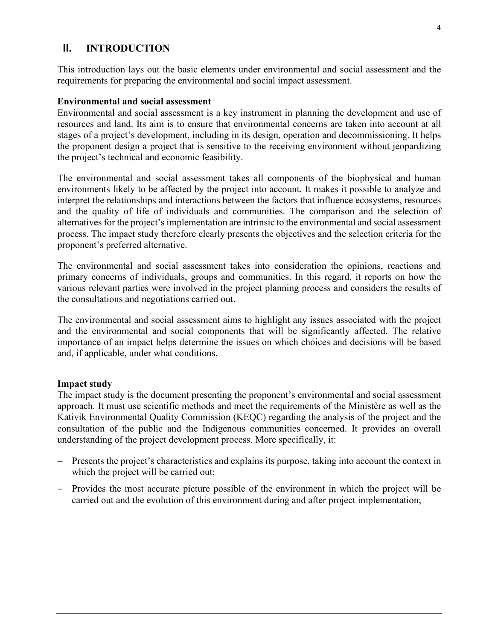### **II. INTRODUCTION**

This introduction lays out the basic elements under environmental and social assessment and the requirements for preparing the environmental and social impact assessment.

#### **Environmental and social assessment**

Environmental and social assessment is a key instrument in planning the development and use of resources and land. Its aim is to ensure that environmental concerns are taken into account at all stages of a project's development, including in its design, operation and decommissioning. It helps the proponent design a project that is sensitive to the receiving environment without jeopardizing the project's technical and economic feasibility.

The environmental and social assessment takes all components of the biophysical and human environments likely to be affected by the project into account. It makes it possible to analyze and interpret the relationships and interactions between the factors that influence ecosystems, resources and the quality of life of individuals and communities. The comparison and the selection of alternatives for the project's implementation are intrinsic to the environmental and social assessment process. The impact study therefore clearly presents the objectives and the selection criteria for the proponent's preferred alternative.

The environmental and social assessment takes into consideration the opinions, reactions and primary concerns of individuals, groups and communities. In this regard, it reports on how the various relevant parties were involved in the project planning process and considers the results of the consultations and negotiations carried out.

The environmental and social assessment aims to highlight any issues associated with the project and the environmental and social components that will be significantly affected. The relative importance of an impact helps determine the issues on which choices and decisions will be based and, if applicable, under what conditions.

#### **Impact study**

The impact study is the document presenting the proponent's environmental and social assessment approach. It must use scientific methods and meet the requirements of the Ministère as well as the Kativik Environmental Quality Commission (KEQC) regarding the analysis of the project and the consultation of the public and the Indigenous communities concerned. It provides an overall understanding of the project development process. More specifically, it:

- Presents the project's characteristics and explains its purpose, taking into account the context in which the project will be carried out;
- Provides the most accurate picture possible of the environment in which the project will be carried out and the evolution of this environment during and after project implementation;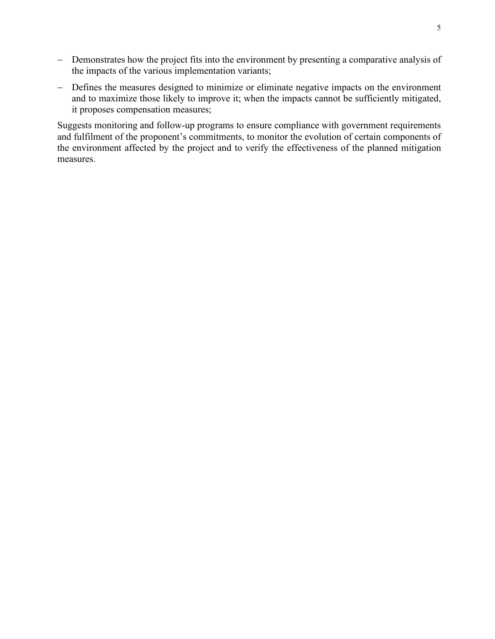- − Demonstrates how the project fits into the environment by presenting a comparative analysis of the impacts of the various implementation variants;
- − Defines the measures designed to minimize or eliminate negative impacts on the environment and to maximize those likely to improve it; when the impacts cannot be sufficiently mitigated, it proposes compensation measures;

Suggests monitoring and follow-up programs to ensure compliance with government requirements and fulfilment of the proponent's commitments, to monitor the evolution of certain components of the environment affected by the project and to verify the effectiveness of the planned mitigation measures.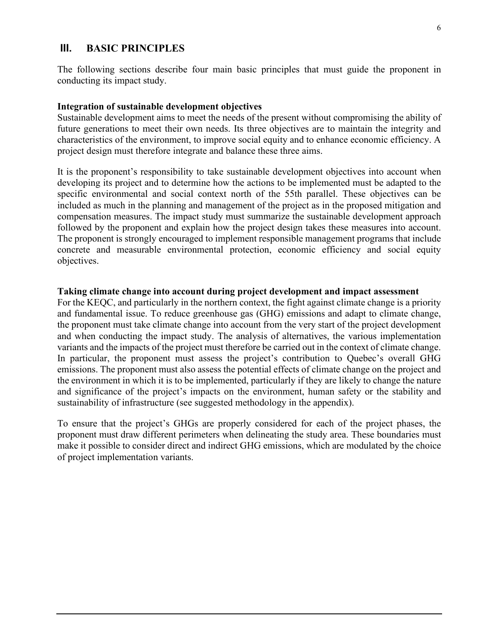#### **III. BASIC PRINCIPLES**

The following sections describe four main basic principles that must guide the proponent in conducting its impact study.

#### **Integration of sustainable development objectives**

Sustainable development aims to meet the needs of the present without compromising the ability of future generations to meet their own needs. Its three objectives are to maintain the integrity and characteristics of the environment, to improve social equity and to enhance economic efficiency. A project design must therefore integrate and balance these three aims.

It is the proponent's responsibility to take sustainable development objectives into account when developing its project and to determine how the actions to be implemented must be adapted to the specific environmental and social context north of the 55th parallel. These objectives can be included as much in the planning and management of the project as in the proposed mitigation and compensation measures. The impact study must summarize the sustainable development approach followed by the proponent and explain how the project design takes these measures into account. The proponent is strongly encouraged to implement responsible management programs that include concrete and measurable environmental protection, economic efficiency and social equity objectives.

#### **Taking climate change into account during project development and impact assessment**

For the KEQC, and particularly in the northern context, the fight against climate change is a priority and fundamental issue. To reduce greenhouse gas (GHG) emissions and adapt to climate change, the proponent must take climate change into account from the very start of the project development and when conducting the impact study. The analysis of alternatives, the various implementation variants and the impacts of the project must therefore be carried out in the context of climate change. In particular, the proponent must assess the project's contribution to Quebec's overall GHG emissions. The proponent must also assess the potential effects of climate change on the project and the environment in which it is to be implemented, particularly if they are likely to change the nature and significance of the project's impacts on the environment, human safety or the stability and sustainability of infrastructure (see suggested methodology in the appendix).

To ensure that the project's GHGs are properly considered for each of the project phases, the proponent must draw different perimeters when delineating the study area. These boundaries must make it possible to consider direct and indirect GHG emissions, which are modulated by the choice of project implementation variants.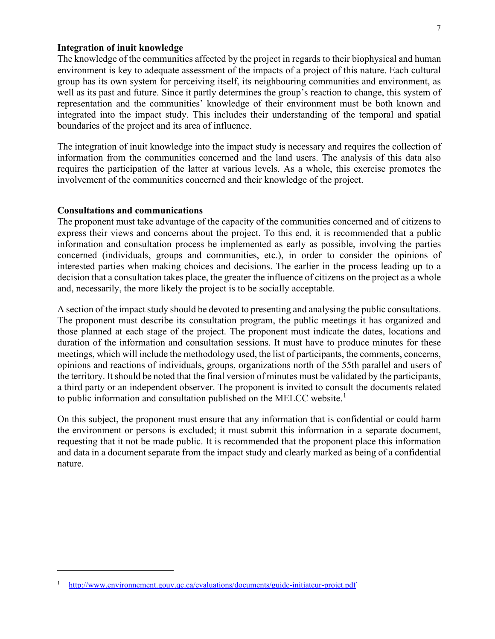#### **Integration of inuit knowledge**

The knowledge of the communities affected by the project in regards to their biophysical and human environment is key to adequate assessment of the impacts of a project of this nature. Each cultural group has its own system for perceiving itself, its neighbouring communities and environment, as well as its past and future. Since it partly determines the group's reaction to change, this system of representation and the communities' knowledge of their environment must be both known and integrated into the impact study. This includes their understanding of the temporal and spatial boundaries of the project and its area of influence.

The integration of inuit knowledge into the impact study is necessary and requires the collection of information from the communities concerned and the land users. The analysis of this data also requires the participation of the latter at various levels. As a whole, this exercise promotes the involvement of the communities concerned and their knowledge of the project.

#### **Consultations and communications**

The proponent must take advantage of the capacity of the communities concerned and of citizens to express their views and concerns about the project. To this end, it is recommended that a public information and consultation process be implemented as early as possible, involving the parties concerned (individuals, groups and communities, etc.), in order to consider the opinions of interested parties when making choices and decisions. The earlier in the process leading up to a decision that a consultation takes place, the greater the influence of citizens on the project as a whole and, necessarily, the more likely the project is to be socially acceptable.

A section of the impact study should be devoted to presenting and analysing the public consultations. The proponent must describe its consultation program, the public meetings it has organized and those planned at each stage of the project. The proponent must indicate the dates, locations and duration of the information and consultation sessions. It must have to produce minutes for these meetings, which will include the methodology used, the list of participants, the comments, concerns, opinions and reactions of individuals, groups, organizations north of the 55th parallel and users of the territory. It should be noted that the final version of minutes must be validated by the participants, a third party or an independent observer. The proponent is invited to consult the documents related to public information and consultation published on the MELCC website. $<sup>1</sup>$  $<sup>1</sup>$  $<sup>1</sup>$ </sup>

On this subject, the proponent must ensure that any information that is confidential or could harm the environment or persons is excluded; it must submit this information in a separate document, requesting that it not be made public. It is recommended that the proponent place this information and data in a document separate from the impact study and clearly marked as being of a confidential nature.

<span id="page-8-0"></span><sup>1</sup> <http://www.environnement.gouv.qc.ca/evaluations/documents/guide-initiateur-projet.pdf>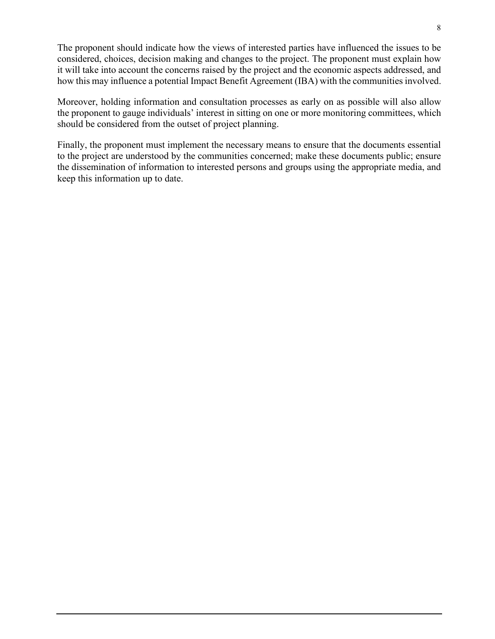The proponent should indicate how the views of interested parties have influenced the issues to be considered, choices, decision making and changes to the project. The proponent must explain how it will take into account the concerns raised by the project and the economic aspects addressed, and how this may influence a potential Impact Benefit Agreement (IBA) with the communities involved.

Moreover, holding information and consultation processes as early on as possible will also allow the proponent to gauge individuals' interest in sitting on one or more monitoring committees, which should be considered from the outset of project planning.

Finally, the proponent must implement the necessary means to ensure that the documents essential to the project are understood by the communities concerned; make these documents public; ensure the dissemination of information to interested persons and groups using the appropriate media, and keep this information up to date.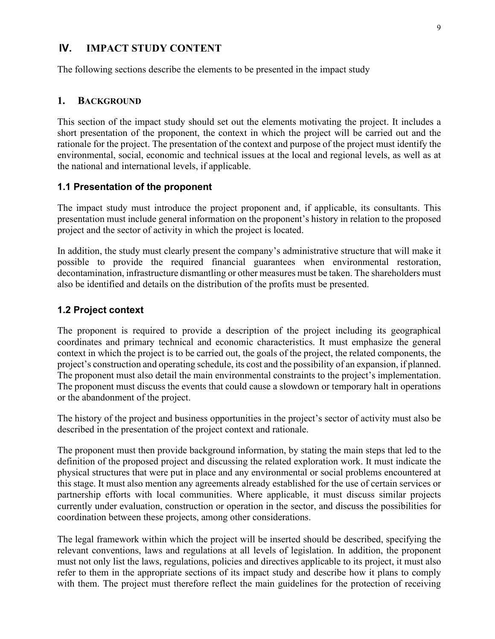#### **IV. IMPACT STUDY CONTENT**

The following sections describe the elements to be presented in the impact study

#### **1. BACKGROUND**

This section of the impact study should set out the elements motivating the project. It includes a short presentation of the proponent, the context in which the project will be carried out and the rationale for the project. The presentation of the context and purpose of the project must identify the environmental, social, economic and technical issues at the local and regional levels, as well as at the national and international levels, if applicable.

#### **1.1 Presentation of the proponent**

The impact study must introduce the project proponent and, if applicable, its consultants. This presentation must include general information on the proponent's history in relation to the proposed project and the sector of activity in which the project is located.

In addition, the study must clearly present the company's administrative structure that will make it possible to provide the required financial guarantees when environmental restoration, decontamination, infrastructure dismantling or other measures must be taken. The shareholders must also be identified and details on the distribution of the profits must be presented.

#### **1.2 Project context**

The proponent is required to provide a description of the project including its geographical coordinates and primary technical and economic characteristics. It must emphasize the general context in which the project is to be carried out, the goals of the project, the related components, the project's construction and operating schedule, its cost and the possibility of an expansion, if planned. The proponent must also detail the main environmental constraints to the project's implementation. The proponent must discuss the events that could cause a slowdown or temporary halt in operations or the abandonment of the project.

The history of the project and business opportunities in the project's sector of activity must also be described in the presentation of the project context and rationale.

The proponent must then provide background information, by stating the main steps that led to the definition of the proposed project and discussing the related exploration work. It must indicate the physical structures that were put in place and any environmental or social problems encountered at this stage. It must also mention any agreements already established for the use of certain services or partnership efforts with local communities. Where applicable, it must discuss similar projects currently under evaluation, construction or operation in the sector, and discuss the possibilities for coordination between these projects, among other considerations.

The legal framework within which the project will be inserted should be described, specifying the relevant conventions, laws and regulations at all levels of legislation. In addition, the proponent must not only list the laws, regulations, policies and directives applicable to its project, it must also refer to them in the appropriate sections of its impact study and describe how it plans to comply with them. The project must therefore reflect the main guidelines for the protection of receiving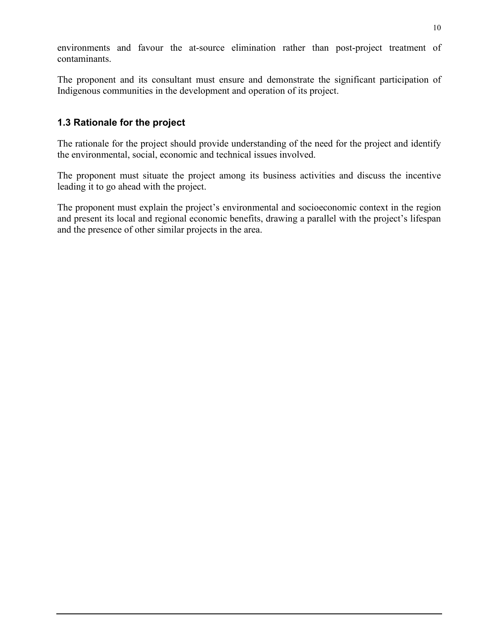environments and favour the at-source elimination rather than post-project treatment of contaminants.

The proponent and its consultant must ensure and demonstrate the significant participation of Indigenous communities in the development and operation of its project.

### **1.3 Rationale for the project**

The rationale for the project should provide understanding of the need for the project and identify the environmental, social, economic and technical issues involved.

The proponent must situate the project among its business activities and discuss the incentive leading it to go ahead with the project.

The proponent must explain the project's environmental and socioeconomic context in the region and present its local and regional economic benefits, drawing a parallel with the project's lifespan and the presence of other similar projects in the area.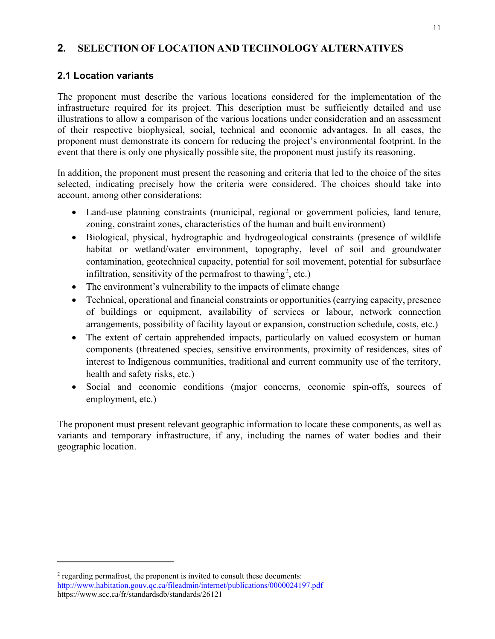### **2. SELECTION OF LOCATION AND TECHNOLOGY ALTERNATIVES**

### **2.1 Location variants**

The proponent must describe the various locations considered for the implementation of the infrastructure required for its project. This description must be sufficiently detailed and use illustrations to allow a comparison of the various locations under consideration and an assessment of their respective biophysical, social, technical and economic advantages. In all cases, the proponent must demonstrate its concern for reducing the project's environmental footprint. In the event that there is only one physically possible site, the proponent must justify its reasoning.

In addition, the proponent must present the reasoning and criteria that led to the choice of the sites selected, indicating precisely how the criteria were considered. The choices should take into account, among other considerations:

- Land-use planning constraints (municipal, regional or government policies, land tenure, zoning, constraint zones, characteristics of the human and built environment)
- Biological, physical, hydrographic and hydrogeological constraints (presence of wildlife habitat or wetland/water environment, topography, level of soil and groundwater contamination, geotechnical capacity, potential for soil movement, potential for subsurface infiltration, sensitivity of the permafrost to thawing<sup>[2](#page-12-0)</sup>, etc.)
- The environment's vulnerability to the impacts of climate change
- Technical, operational and financial constraints or opportunities (carrying capacity, presence of buildings or equipment, availability of services or labour, network connection arrangements, possibility of facility layout or expansion, construction schedule, costs, etc.)
- The extent of certain apprehended impacts, particularly on valued ecosystem or human components (threatened species, sensitive environments, proximity of residences, sites of interest to Indigenous communities, traditional and current community use of the territory, health and safety risks, etc.)
- Social and economic conditions (major concerns, economic spin-offs, sources of employment, etc.)

The proponent must present relevant geographic information to locate these components, as well as variants and temporary infrastructure, if any, including the names of water bodies and their geographic location.

<span id="page-12-0"></span><sup>&</sup>lt;sup>2</sup> regarding permafrost, the proponent is invited to consult these documents: <http://www.habitation.gouv.qc.ca/fileadmin/internet/publications/0000024197.pdf> https://www.scc.ca/fr/standardsdb/standards/26121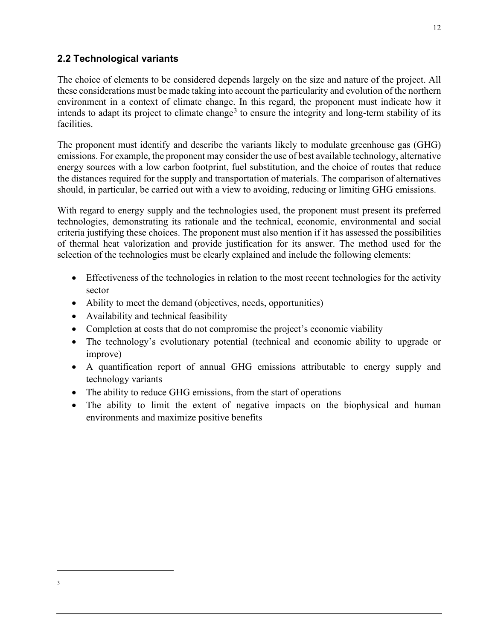### **2.2 Technological variants**

The choice of elements to be considered depends largely on the size and nature of the project. All these considerations must be made taking into account the particularity and evolution of the northern environment in a context of climate change. In this regard, the proponent must indicate how it intends to adapt its project to climate change<sup>[3](#page-13-0)</sup> to ensure the integrity and long-term stability of its facilities.

The proponent must identify and describe the variants likely to modulate greenhouse gas (GHG) emissions. For example, the proponent may consider the use of best available technology, alternative energy sources with a low carbon footprint, fuel substitution, and the choice of routes that reduce the distances required for the supply and transportation of materials. The comparison of alternatives should, in particular, be carried out with a view to avoiding, reducing or limiting GHG emissions.

With regard to energy supply and the technologies used, the proponent must present its preferred technologies, demonstrating its rationale and the technical, economic, environmental and social criteria justifying these choices. The proponent must also mention if it has assessed the possibilities of thermal heat valorization and provide justification for its answer. The method used for the selection of the technologies must be clearly explained and include the following elements:

- Effectiveness of the technologies in relation to the most recent technologies for the activity sector
- Ability to meet the demand (objectives, needs, opportunities)
- Availability and technical feasibility
- Completion at costs that do not compromise the project's economic viability
- The technology's evolutionary potential (technical and economic ability to upgrade or improve)
- A quantification report of annual GHG emissions attributable to energy supply and technology variants
- The ability to reduce GHG emissions, from the start of operations
- <span id="page-13-0"></span>• The ability to limit the extent of negative impacts on the biophysical and human environments and maximize positive benefits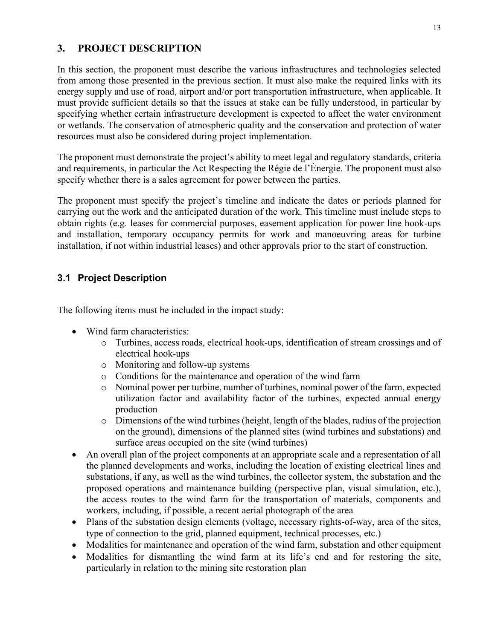### **3. PROJECT DESCRIPTION**

In this section, the proponent must describe the various infrastructures and technologies selected from among those presented in the previous section. It must also make the required links with its energy supply and use of road, airport and/or port transportation infrastructure, when applicable. It must provide sufficient details so that the issues at stake can be fully understood, in particular by specifying whether certain infrastructure development is expected to affect the water environment or wetlands. The conservation of atmospheric quality and the conservation and protection of water resources must also be considered during project implementation.

The proponent must demonstrate the project's ability to meet legal and regulatory standards, criteria and requirements, in particular the Act Respecting the Régie de l'Énergie. The proponent must also specify whether there is a sales agreement for power between the parties.

The proponent must specify the project's timeline and indicate the dates or periods planned for carrying out the work and the anticipated duration of the work. This timeline must include steps to obtain rights (e.g. leases for commercial purposes, easement application for power line hook-ups and installation, temporary occupancy permits for work and manoeuvring areas for turbine installation, if not within industrial leases) and other approvals prior to the start of construction.

## **3.1 Project Description**

The following items must be included in the impact study:

- Wind farm characteristics:
	- o Turbines, access roads, electrical hook-ups, identification of stream crossings and of electrical hook-ups
	- o Monitoring and follow-up systems
	- o Conditions for the maintenance and operation of the wind farm
	- o Nominal power per turbine, number of turbines, nominal power of the farm, expected utilization factor and availability factor of the turbines, expected annual energy production
	- $\circ$  Dimensions of the wind turbines (height, length of the blades, radius of the projection on the ground), dimensions of the planned sites (wind turbines and substations) and surface areas occupied on the site (wind turbines)
- An overall plan of the project components at an appropriate scale and a representation of all the planned developments and works, including the location of existing electrical lines and substations, if any, as well as the wind turbines, the collector system, the substation and the proposed operations and maintenance building (perspective plan, visual simulation, etc.), the access routes to the wind farm for the transportation of materials, components and workers, including, if possible, a recent aerial photograph of the area
- Plans of the substation design elements (voltage, necessary rights-of-way, area of the sites, type of connection to the grid, planned equipment, technical processes, etc.)
- Modalities for maintenance and operation of the wind farm, substation and other equipment
- Modalities for dismantling the wind farm at its life's end and for restoring the site, particularly in relation to the mining site restoration plan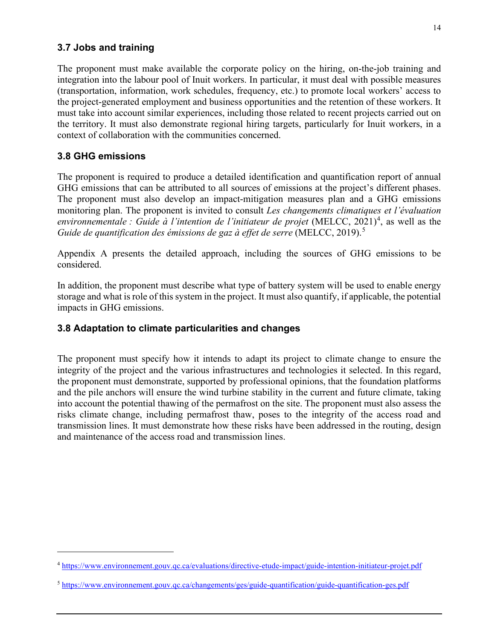#### **3.7 Jobs and training**

The proponent must make available the corporate policy on the hiring, on-the-job training and integration into the labour pool of Inuit workers. In particular, it must deal with possible measures (transportation, information, work schedules, frequency, etc.) to promote local workers' access to the project-generated employment and business opportunities and the retention of these workers. It must take into account similar experiences, including those related to recent projects carried out on the territory. It must also demonstrate regional hiring targets, particularly for Inuit workers, in a context of collaboration with the communities concerned.

#### **3.8 GHG emissions**

The proponent is required to produce a detailed identification and quantification report of annual GHG emissions that can be attributed to all sources of emissions at the project's different phases. The proponent must also develop an impact-mitigation measures plan and a GHG emissions monitoring plan. The proponent is invited to consult *Les changements climatiques et l'évaluation*  environnementale : Guide à l'intention de l'initiateur de projet (MELCC, 2021)<sup>[4](#page-15-0)</sup>, as well as the Guide de quantification des émissions de gaz à effet de serre (MELCC, 2019).<sup>[5](#page-15-1)</sup>

Appendix A presents the detailed approach, including the sources of GHG emissions to be considered.

In addition, the proponent must describe what type of battery system will be used to enable energy storage and what is role of this system in the project. It must also quantify, if applicable, the potential impacts in GHG emissions.

#### **3.8 Adaptation to climate particularities and changes**

The proponent must specify how it intends to adapt its project to climate change to ensure the integrity of the project and the various infrastructures and technologies it selected. In this regard, the proponent must demonstrate, supported by professional opinions, that the foundation platforms and the pile anchors will ensure the wind turbine stability in the current and future climate, taking into account the potential thawing of the permafrost on the site. The proponent must also assess the risks climate change, including permafrost thaw, poses to the integrity of the access road and transmission lines. It must demonstrate how these risks have been addressed in the routing, design and maintenance of the access road and transmission lines.

<span id="page-15-0"></span><sup>4</sup> <https://www.environnement.gouv.qc.ca/evaluations/directive-etude-impact/guide-intention-initiateur-projet.pdf>

<span id="page-15-1"></span><sup>5</sup> <https://www.environnement.gouv.qc.ca/changements/ges/guide-quantification/guide-quantification-ges.pdf>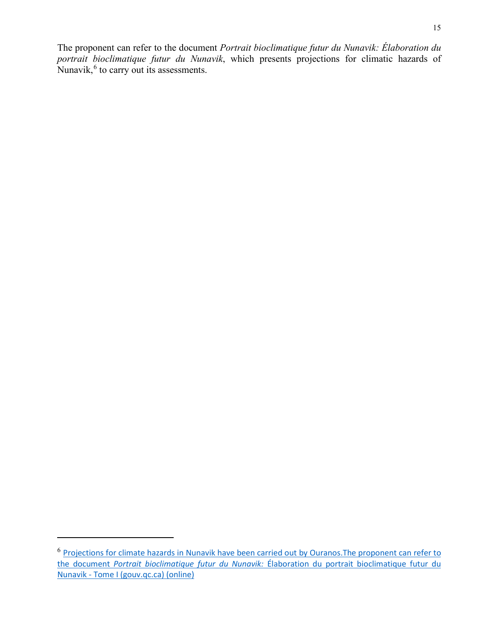The proponent can refer to the document *Portrait bioclimatique futur du Nunavik: Élaboration du portrait bioclimatique futur du Nunavik*, which presents projections for climatic hazards of Nunavik, $<sup>6</sup>$  $<sup>6</sup>$  $<sup>6</sup>$  to carry out its assessments.</sup>

<span id="page-16-0"></span><sup>6</sup> [Projections for climate hazards in Nunavik have been carried out by Ouranos.The proponent can refer to](https://mffp.gouv.qc.ca/documents/forets/inventaire/Portrait_bioclimatique_Nunavik_tome_1.pdf)  the document *[Portrait bioclimatique futur du Nunavik:](https://mffp.gouv.qc.ca/documents/forets/inventaire/Portrait_bioclimatique_Nunavik_tome_1.pdf)* [Élaboration du portrait bioclimatique futur du](https://mffp.gouv.qc.ca/documents/forets/inventaire/Portrait_bioclimatique_Nunavik_tome_1.pdf)  [Nunavik - Tome I \(gouv.qc.ca\)](https://mffp.gouv.qc.ca/documents/forets/inventaire/Portrait_bioclimatique_Nunavik_tome_1.pdf) (online)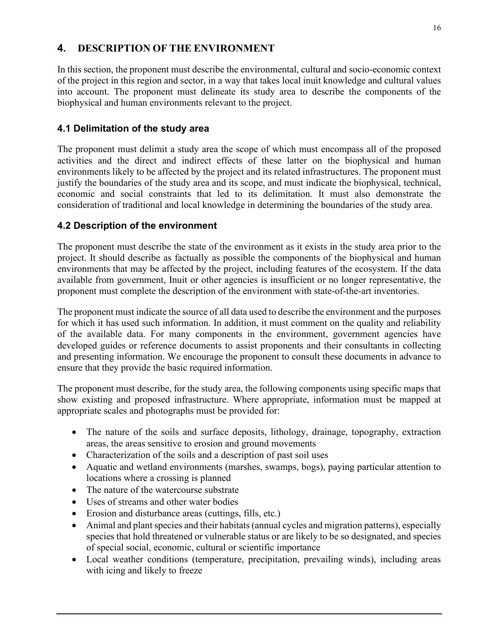# **4. DESCRIPTION OF THE ENVIRONMENT**

In this section, the proponent must describe the environmental, cultural and socio-economic context of the project in this region and sector, in a way that takes local inuit knowledge and cultural values into account. The proponent must delineate its study area to describe the components of the biophysical and human environments relevant to the project.

### **4.1 Delimitation of the study area**

The proponent must delimit a study area the scope of which must encompass all of the proposed activities and the direct and indirect effects of these latter on the biophysical and human environments likely to be affected by the project and its related infrastructures. The proponent must justify the boundaries of the study area and its scope, and must indicate the biophysical, technical, economic and social constraints that led to its delimitation. It must also demonstrate the consideration of traditional and local knowledge in determining the boundaries of the study area.

### **4.2 Description of the environment**

The proponent must describe the state of the environment as it exists in the study area prior to the project. It should describe as factually as possible the components of the biophysical and human environments that may be affected by the project, including features of the ecosystem. If the data available from government, Inuit or other agencies is insufficient or no longer representative, the proponent must complete the description of the environment with state-of-the-art inventories.

The proponent must indicate the source of all data used to describe the environment and the purposes for which it has used such information. In addition, it must comment on the quality and reliability of the available data. For many components in the environment, government agencies have developed guides or reference documents to assist proponents and their consultants in collecting and presenting information. We encourage the proponent to consult these documents in advance to ensure that they provide the basic required information.

The proponent must describe, for the study area, the following components using specific maps that show existing and proposed infrastructure. Where appropriate, information must be mapped at appropriate scales and photographs must be provided for:

- The nature of the soils and surface deposits, lithology, drainage, topography, extraction areas, the areas sensitive to erosion and ground movements
- Characterization of the soils and a description of past soil uses
- Aquatic and wetland environments (marshes, swamps, bogs), paying particular attention to locations where a crossing is planned
- The nature of the watercourse substrate
- Uses of streams and other water bodies
- Erosion and disturbance areas (cuttings, fills, etc.)
- Animal and plant species and their habitats (annual cycles and migration patterns), especially species that hold threatened or vulnerable status or are likely to be so designated, and species of special social, economic, cultural or scientific importance
- Local weather conditions (temperature, precipitation, prevailing winds), including areas with icing and likely to freeze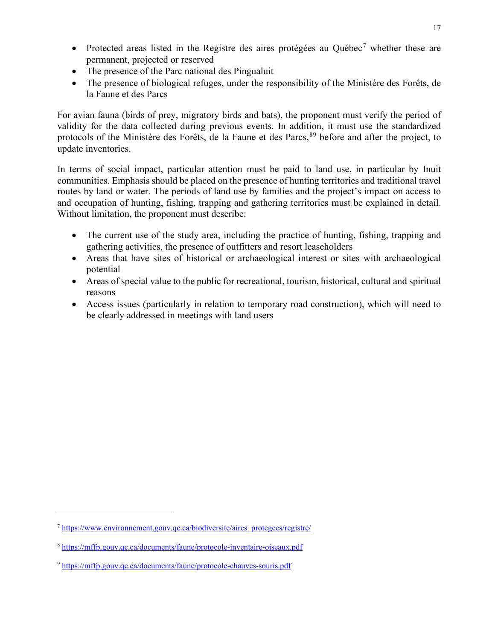- Protected areas listed in the Registre des aires protégées au Québec<sup>[7](#page-18-0)</sup> whether these are permanent, projected or reserved
- The presence of the Parc national des Pingualuit
- The presence of biological refuges, under the responsibility of the Ministère des Forêts, de la Faune et des Parcs

For avian fauna (birds of prey, migratory birds and bats), the proponent must verify the period of validity for the data collected during previous events. In addition, it must use the standardized protocols of the Ministère des Forêts, de la Faune et des Parcs, [8](#page-18-1)[9](#page-18-2) before and after the project, to update inventories.

In terms of social impact, particular attention must be paid to land use, in particular by Inuit communities. Emphasis should be placed on the presence of hunting territories and traditional travel routes by land or water. The periods of land use by families and the project's impact on access to and occupation of hunting, fishing, trapping and gathering territories must be explained in detail. Without limitation, the proponent must describe:

- The current use of the study area, including the practice of hunting, fishing, trapping and gathering activities, the presence of outfitters and resort leaseholders
- Areas that have sites of historical or archaeological interest or sites with archaeological potential
- Areas of special value to the public for recreational, tourism, historical, cultural and spiritual reasons
- Access issues (particularly in relation to temporary road construction), which will need to be clearly addressed in meetings with land users

<span id="page-18-0"></span><sup>7</sup> [https://www.environnement.gouv.qc.ca/biodiversite/aires\\_protegees/registre/](https://www.environnement.gouv.qc.ca/biodiversite/aires_protegees/registre/) 

<span id="page-18-1"></span><sup>8</sup> <https://mffp.gouv.qc.ca/documents/faune/protocole-inventaire-oiseaux.pdf>

<span id="page-18-2"></span><sup>9</sup> <https://mffp.gouv.qc.ca/documents/faune/protocole-chauves-souris.pdf>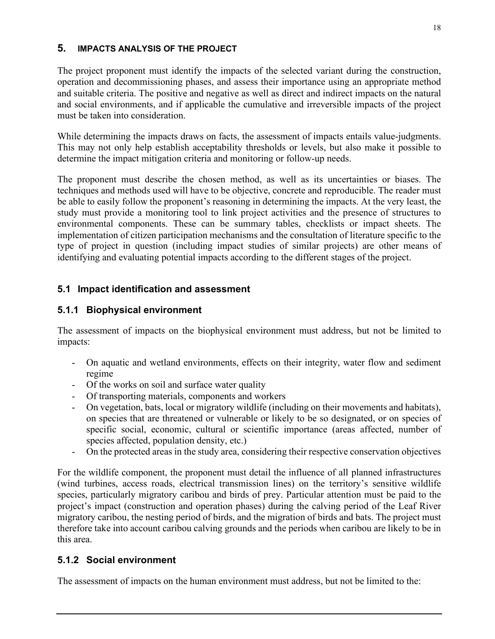#### **5. IMPACTS ANALYSIS OF THE PROJECT**

The project proponent must identify the impacts of the selected variant during the construction, operation and decommissioning phases, and assess their importance using an appropriate method and suitable criteria. The positive and negative as well as direct and indirect impacts on the natural and social environments, and if applicable the cumulative and irreversible impacts of the project must be taken into consideration.

While determining the impacts draws on facts, the assessment of impacts entails value-judgments. This may not only help establish acceptability thresholds or levels, but also make it possible to determine the impact mitigation criteria and monitoring or follow-up needs.

The proponent must describe the chosen method, as well as its uncertainties or biases. The techniques and methods used will have to be objective, concrete and reproducible. The reader must be able to easily follow the proponent's reasoning in determining the impacts. At the very least, the study must provide a monitoring tool to link project activities and the presence of structures to environmental components. These can be summary tables, checklists or impact sheets. The implementation of citizen participation mechanisms and the consultation of literature specific to the type of project in question (including impact studies of similar projects) are other means of identifying and evaluating potential impacts according to the different stages of the project.

# **5.1 Impact identification and assessment**

# **5.1.1 Biophysical environment**

The assessment of impacts on the biophysical environment must address, but not be limited to impacts:

- On aquatic and wetland environments, effects on their integrity, water flow and sediment regime
- Of the works on soil and surface water quality
- Of transporting materials, components and workers
- On vegetation, bats, local or migratory wildlife (including on their movements and habitats), on species that are threatened or vulnerable or likely to be so designated, or on species of specific social, economic, cultural or scientific importance (areas affected, number of species affected, population density, etc.)
- On the protected areas in the study area, considering their respective conservation objectives

For the wildlife component, the proponent must detail the influence of all planned infrastructures (wind turbines, access roads, electrical transmission lines) on the territory's sensitive wildlife species, particularly migratory caribou and birds of prey. Particular attention must be paid to the project's impact (construction and operation phases) during the calving period of the Leaf River migratory caribou, the nesting period of birds, and the migration of birds and bats. The project must therefore take into account caribou calving grounds and the periods when caribou are likely to be in this area.

## **5.1.2 Social environment**

The assessment of impacts on the human environment must address, but not be limited to the: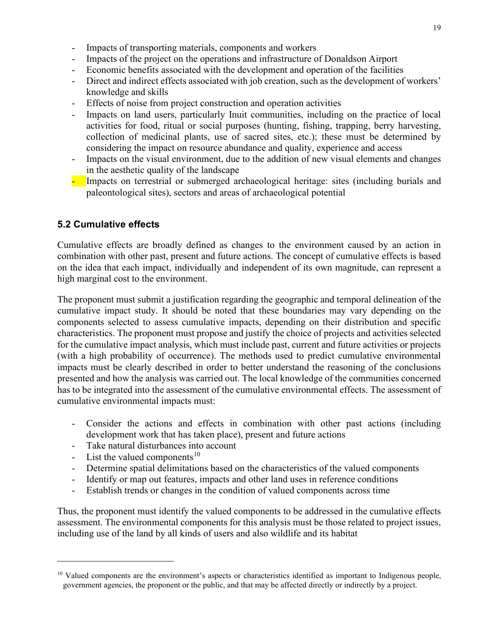- Impacts of transporting materials, components and workers
- Impacts of the project on the operations and infrastructure of Donaldson Airport
- Economic benefits associated with the development and operation of the facilities
- Direct and indirect effects associated with job creation, such as the development of workers' knowledge and skills
- Effects of noise from project construction and operation activities
- Impacts on land users, particularly Inuit communities, including on the practice of local activities for food, ritual or social purposes (hunting, fishing, trapping, berry harvesting, collection of medicinal plants, use of sacred sites, etc.); these must be determined by considering the impact on resource abundance and quality, experience and access
- Impacts on the visual environment, due to the addition of new visual elements and changes in the aesthetic quality of the landscape
- Impacts on terrestrial or submerged archaeological heritage: sites (including burials and paleontological sites), sectors and areas of archaeological potential

#### **5.2 Cumulative effects**

Cumulative effects are broadly defined as changes to the environment caused by an action in combination with other past, present and future actions. The concept of cumulative effects is based on the idea that each impact, individually and independent of its own magnitude, can represent a high marginal cost to the environment.

The proponent must submit a justification regarding the geographic and temporal delineation of the cumulative impact study. It should be noted that these boundaries may vary depending on the components selected to assess cumulative impacts, depending on their distribution and specific characteristics. The proponent must propose and justify the choice of projects and activities selected for the cumulative impact analysis, which must include past, current and future activities or projects (with a high probability of occurrence). The methods used to predict cumulative environmental impacts must be clearly described in order to better understand the reasoning of the conclusions presented and how the analysis was carried out. The local knowledge of the communities concerned has to be integrated into the assessment of the cumulative environmental effects. The assessment of cumulative environmental impacts must:

- Consider the actions and effects in combination with other past actions (including development work that has taken place), present and future actions
- Take natural disturbances into account
- List the valued components<sup>[10](#page-20-0)</sup>
- Determine spatial delimitations based on the characteristics of the valued components
- Identify or map out features, impacts and other land uses in reference conditions
- Establish trends or changes in the condition of valued components across time

Thus, the proponent must identify the valued components to be addressed in the cumulative effects assessment. The environmental components for this analysis must be those related to project issues, including use of the land by all kinds of users and also wildlife and its habitat

<span id="page-20-0"></span><sup>&</sup>lt;sup>10</sup> Valued components are the environment's aspects or characteristics identified as important to Indigenous people, government agencies, the proponent or the public, and that may be affected directly or indirectly by a project.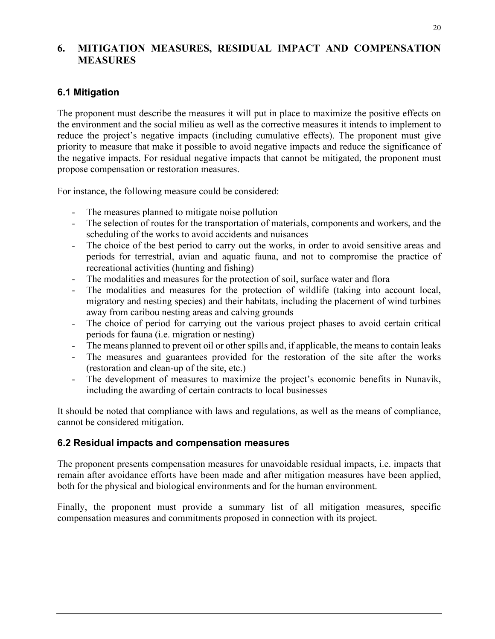### **6. MITIGATION MEASURES, RESIDUAL IMPACT AND COMPENSATION MEASURES**

## **6.1 Mitigation**

The proponent must describe the measures it will put in place to maximize the positive effects on the environment and the social milieu as well as the corrective measures it intends to implement to reduce the project's negative impacts (including cumulative effects). The proponent must give priority to measure that make it possible to avoid negative impacts and reduce the significance of the negative impacts. For residual negative impacts that cannot be mitigated, the proponent must propose compensation or restoration measures.

For instance, the following measure could be considered:

- The measures planned to mitigate noise pollution
- The selection of routes for the transportation of materials, components and workers, and the scheduling of the works to avoid accidents and nuisances
- The choice of the best period to carry out the works, in order to avoid sensitive areas and periods for terrestrial, avian and aquatic fauna, and not to compromise the practice of recreational activities (hunting and fishing)
- The modalities and measures for the protection of soil, surface water and flora
- The modalities and measures for the protection of wildlife (taking into account local, migratory and nesting species) and their habitats, including the placement of wind turbines away from caribou nesting areas and calving grounds
- The choice of period for carrying out the various project phases to avoid certain critical periods for fauna (i.e. migration or nesting)
- The means planned to prevent oil or other spills and, if applicable, the means to contain leaks
- The measures and guarantees provided for the restoration of the site after the works (restoration and clean-up of the site, etc.)
- The development of measures to maximize the project's economic benefits in Nunavik, including the awarding of certain contracts to local businesses

It should be noted that compliance with laws and regulations, as well as the means of compliance, cannot be considered mitigation.

#### **6.2 Residual impacts and compensation measures**

The proponent presents compensation measures for unavoidable residual impacts, i.e. impacts that remain after avoidance efforts have been made and after mitigation measures have been applied, both for the physical and biological environments and for the human environment.

Finally, the proponent must provide a summary list of all mitigation measures, specific compensation measures and commitments proposed in connection with its project.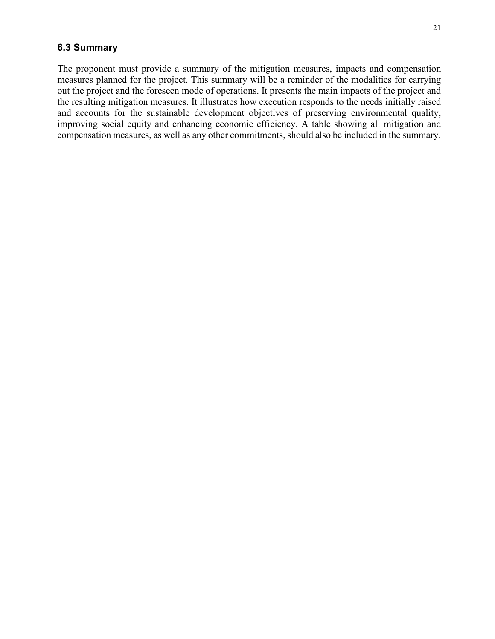#### **6.3 Summary**

The proponent must provide a summary of the mitigation measures, impacts and compensation measures planned for the project. This summary will be a reminder of the modalities for carrying out the project and the foreseen mode of operations. It presents the main impacts of the project and the resulting mitigation measures. It illustrates how execution responds to the needs initially raised and accounts for the sustainable development objectives of preserving environmental quality, improving social equity and enhancing economic efficiency. A table showing all mitigation and compensation measures, as well as any other commitments, should also be included in the summary.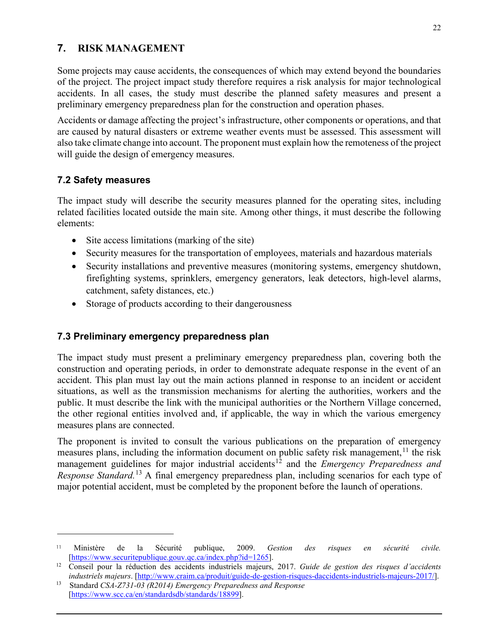# **7. RISK MANAGEMENT**

Some projects may cause accidents, the consequences of which may extend beyond the boundaries of the project. The project impact study therefore requires a risk analysis for major technological accidents. In all cases, the study must describe the planned safety measures and present a preliminary emergency preparedness plan for the construction and operation phases.

Accidents or damage affecting the project's infrastructure, other components or operations, and that are caused by natural disasters or extreme weather events must be assessed. This assessment will also take climate change into account. The proponent must explain how the remoteness of the project will guide the design of emergency measures.

## **7.2 Safety measures**

The impact study will describe the security measures planned for the operating sites, including related facilities located outside the main site. Among other things, it must describe the following elements:

- Site access limitations (marking of the site)
- Security measures for the transportation of employees, materials and hazardous materials
- Security installations and preventive measures (monitoring systems, emergency shutdown, firefighting systems, sprinklers, emergency generators, leak detectors, high-level alarms, catchment, safety distances, etc.)
- Storage of products according to their dangerousness

## **7.3 Preliminary emergency preparedness plan**

The impact study must present a preliminary emergency preparedness plan, covering both the construction and operating periods, in order to demonstrate adequate response in the event of an accident. This plan must lay out the main actions planned in response to an incident or accident situations, as well as the transmission mechanisms for alerting the authorities, workers and the public. It must describe the link with the municipal authorities or the Northern Village concerned, the other regional entities involved and, if applicable, the way in which the various emergency measures plans are connected.

The proponent is invited to consult the various publications on the preparation of emergency measures plans, including the information document on public safety risk management,  $^{11}$  $^{11}$  $^{11}$  the risk management guidelines for major industrial accidents<sup>[12](#page-23-1)</sup> and the *Emergency Preparedness and Response Standard.*[13](#page-23-2) A final emergency preparedness plan, including scenarios for each type of major potential accident, must be completed by the proponent before the launch of operations.

<span id="page-23-0"></span><sup>11</sup> Ministère de la Sécurité publique, 2009. *Gestion des risques en sécurité civile.* [\[https://www.securitepublique.gouv.qc.ca/index.php?id=1265\]](https://www.securitepublique.gouv.qc.ca/index.php?id=1265).

<span id="page-23-1"></span><sup>12</sup> Conseil pour la réduction des accidents industriels majeurs, 2017. *Guide de gestion des risques d'accidents industriels majeurs*. [\[http://www.craim.ca/produit/guide-de-gestion-risques-daccidents-industriels-majeurs-2017/\]](http://www.craim.ca/produit/guide-de-gestion-risques-daccidents-industriels-majeurs-2017/).

<span id="page-23-2"></span><sup>13</sup> Standard *CSA-Z731-03 (R2014) Emergency Preparedness and Response*  [\[https://www.scc.ca/en/standardsdb/standards/18899\]](https://www.scc.ca/en/standardsdb/standards/18899).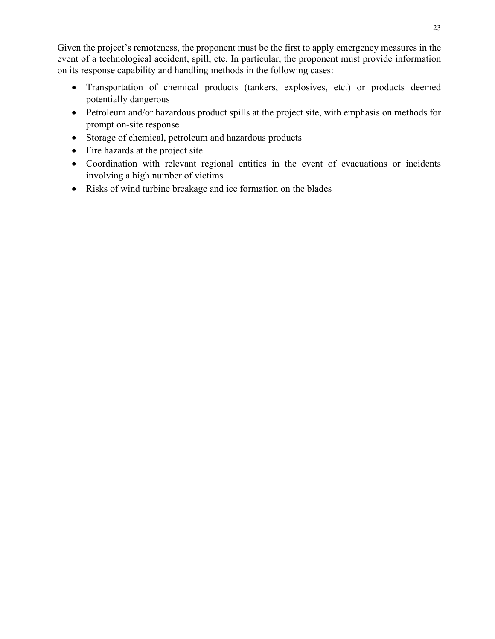Given the project's remoteness, the proponent must be the first to apply emergency measures in the event of a technological accident, spill, etc. In particular, the proponent must provide information on its response capability and handling methods in the following cases:

- Transportation of chemical products (tankers, explosives, etc.) or products deemed potentially dangerous
- Petroleum and/or hazardous product spills at the project site, with emphasis on methods for prompt on-site response
- Storage of chemical, petroleum and hazardous products
- Fire hazards at the project site
- Coordination with relevant regional entities in the event of evacuations or incidents involving a high number of victims
- Risks of wind turbine breakage and ice formation on the blades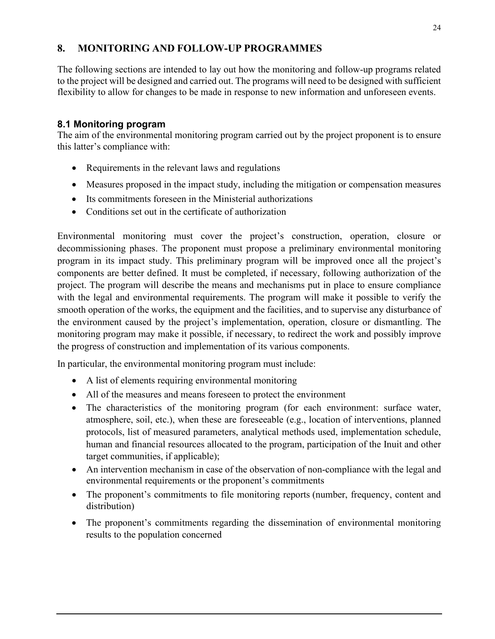# **8. MONITORING AND FOLLOW-UP PROGRAMMES**

The following sections are intended to lay out how the monitoring and follow-up programs related to the project will be designed and carried out. The programs will need to be designed with sufficient flexibility to allow for changes to be made in response to new information and unforeseen events.

# **8.1 Monitoring program**

The aim of the environmental monitoring program carried out by the project proponent is to ensure this latter's compliance with:

- Requirements in the relevant laws and regulations
- Measures proposed in the impact study, including the mitigation or compensation measures
- Its commitments foreseen in the Ministerial authorizations
- Conditions set out in the certificate of authorization

Environmental monitoring must cover the project's construction, operation, closure or decommissioning phases. The proponent must propose a preliminary environmental monitoring program in its impact study. This preliminary program will be improved once all the project's components are better defined. It must be completed, if necessary, following authorization of the project. The program will describe the means and mechanisms put in place to ensure compliance with the legal and environmental requirements. The program will make it possible to verify the smooth operation of the works, the equipment and the facilities, and to supervise any disturbance of the environment caused by the project's implementation, operation, closure or dismantling. The monitoring program may make it possible, if necessary, to redirect the work and possibly improve the progress of construction and implementation of its various components.

In particular, the environmental monitoring program must include:

- A list of elements requiring environmental monitoring
- All of the measures and means foreseen to protect the environment
- The characteristics of the monitoring program (for each environment: surface water, atmosphere, soil, etc.), when these are foreseeable (e.g., location of interventions, planned protocols, list of measured parameters, analytical methods used, implementation schedule, human and financial resources allocated to the program, participation of the Inuit and other target communities, if applicable);
- An intervention mechanism in case of the observation of non-compliance with the legal and environmental requirements or the proponent's commitments
- The proponent's commitments to file monitoring reports (number, frequency, content and distribution)
- The proponent's commitments regarding the dissemination of environmental monitoring results to the population concerned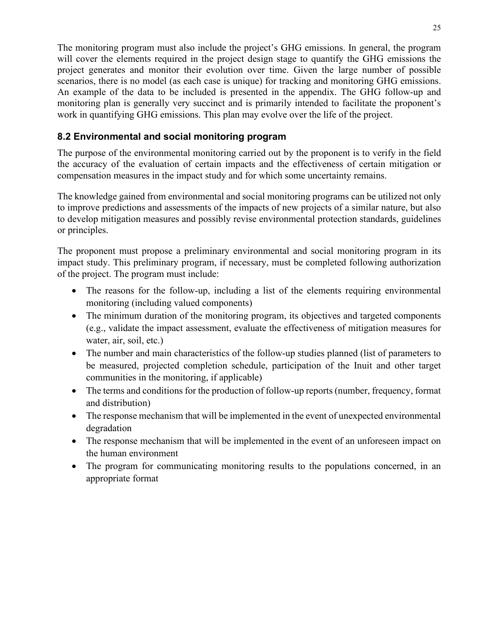The monitoring program must also include the project's GHG emissions. In general, the program will cover the elements required in the project design stage to quantify the GHG emissions the project generates and monitor their evolution over time. Given the large number of possible scenarios, there is no model (as each case is unique) for tracking and monitoring GHG emissions. An example of the data to be included is presented in the appendix. The GHG follow-up and monitoring plan is generally very succinct and is primarily intended to facilitate the proponent's work in quantifying GHG emissions. This plan may evolve over the life of the project.

# **8.2 Environmental and social monitoring program**

The purpose of the environmental monitoring carried out by the proponent is to verify in the field the accuracy of the evaluation of certain impacts and the effectiveness of certain mitigation or compensation measures in the impact study and for which some uncertainty remains.

The knowledge gained from environmental and social monitoring programs can be utilized not only to improve predictions and assessments of the impacts of new projects of a similar nature, but also to develop mitigation measures and possibly revise environmental protection standards, guidelines or principles.

The proponent must propose a preliminary environmental and social monitoring program in its impact study. This preliminary program, if necessary, must be completed following authorization of the project. The program must include:

- The reasons for the follow-up, including a list of the elements requiring environmental monitoring (including valued components)
- The minimum duration of the monitoring program, its objectives and targeted components (e.g., validate the impact assessment, evaluate the effectiveness of mitigation measures for water, air, soil, etc.)
- The number and main characteristics of the follow-up studies planned (list of parameters to be measured, projected completion schedule, participation of the Inuit and other target communities in the monitoring, if applicable)
- The terms and conditions for the production of follow-up reports (number, frequency, format and distribution)
- The response mechanism that will be implemented in the event of unexpected environmental degradation
- The response mechanism that will be implemented in the event of an unforeseen impact on the human environment
- The program for communicating monitoring results to the populations concerned, in an appropriate format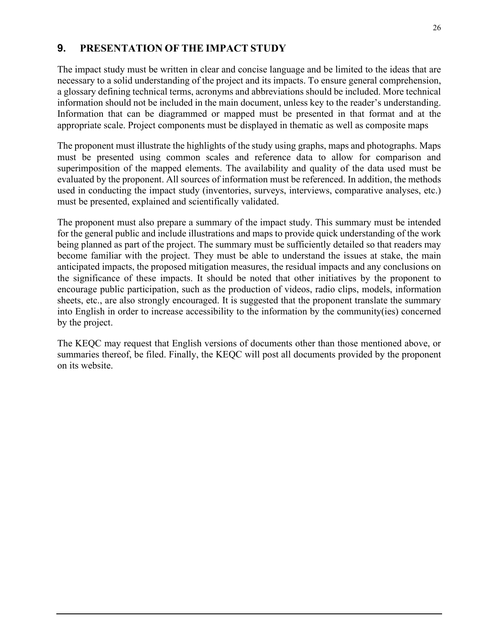### **9. PRESENTATION OF THE IMPACT STUDY**

The impact study must be written in clear and concise language and be limited to the ideas that are necessary to a solid understanding of the project and its impacts. To ensure general comprehension, a glossary defining technical terms, acronyms and abbreviations should be included. More technical information should not be included in the main document, unless key to the reader's understanding. Information that can be diagrammed or mapped must be presented in that format and at the appropriate scale. Project components must be displayed in thematic as well as composite maps

The proponent must illustrate the highlights of the study using graphs, maps and photographs. Maps must be presented using common scales and reference data to allow for comparison and superimposition of the mapped elements. The availability and quality of the data used must be evaluated by the proponent. All sources of information must be referenced. In addition, the methods used in conducting the impact study (inventories, surveys, interviews, comparative analyses, etc.) must be presented, explained and scientifically validated.

The proponent must also prepare a summary of the impact study. This summary must be intended for the general public and include illustrations and maps to provide quick understanding of the work being planned as part of the project. The summary must be sufficiently detailed so that readers may become familiar with the project. They must be able to understand the issues at stake, the main anticipated impacts, the proposed mitigation measures, the residual impacts and any conclusions on the significance of these impacts. It should be noted that other initiatives by the proponent to encourage public participation, such as the production of videos, radio clips, models, information sheets, etc., are also strongly encouraged. It is suggested that the proponent translate the summary into English in order to increase accessibility to the information by the community(ies) concerned by the project.

The KEQC may request that English versions of documents other than those mentioned above, or summaries thereof, be filed. Finally, the KEQC will post all documents provided by the proponent on its website.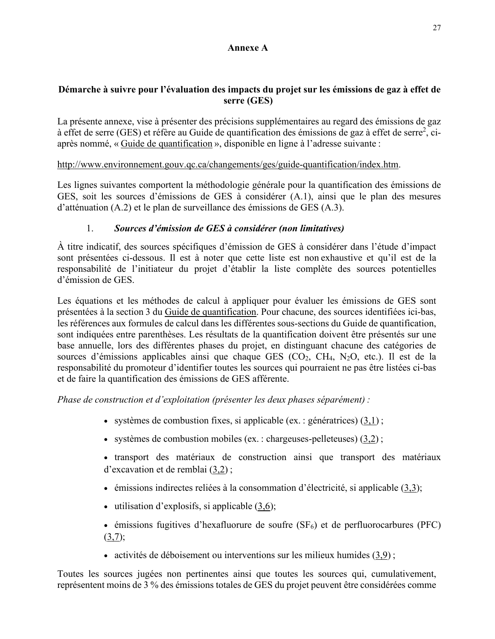#### **Annexe A**

#### **Démarche à suivre pour l'évaluation des impacts du projet sur les émissions de gaz à effet de serre (GES)**

La présente annexe, vise à présenter des précisions supplémentaires au regard des émissions de gaz à effet de serre (GES) et réfère au Guide de quantification des émissions de gaz à effet de serre<sup>2</sup>, ciaprès nommé, « [Guide de quantification](http://www.environnement.gouv.qc.ca/changements/ges/guide-quantification/guide-quantification-ges.pdf) », disponible en ligne à l'adresse suivante :

[http://www.environnement.gouv.qc.ca/changements/ges/guide-quantification/index.htm.](http://www.environnement.gouv.qc.ca/changements/ges/guide-quantification/index.htm)

Les lignes suivantes comportent la méthodologie générale pour la quantification des émissions de GES, soit les sources d'émissions de GES à considérer (A.1), ainsi que le plan des mesures d'atténuation (A.2) et le plan de surveillance des émissions de GES (A.3).

### 1. *Sources d'émission de GES à considérer (non limitatives)*

À titre indicatif, des sources spécifiques d'émission de GES à considérer dans l'étude d'impact sont présentées ci-dessous. Il est à noter que cette liste est non exhaustive et qu'il est de la responsabilité de l'initiateur du projet d'établir la liste complète des sources potentielles d'émission de GES.

Les équations et les méthodes de calcul à appliquer pour évaluer les émissions de GES sont présentées à la section 3 du [Guide de quantification.](http://www.environnement.gouv.qc.ca/changements/ges/guide-quantification/guide-quantification-ges.pdf) Pour chacune, des sources identifiées ici-bas, les références aux formules de calcul dans les différentes sous-sections du Guide de quantification, sont indiquées entre parenthèses. Les résultats de la quantification doivent être présentés sur une base annuelle, lors des différentes phases du projet, en distinguant chacune des catégories de sources d'émissions applicables ainsi que chaque GES (CO2, CH4, N2O, etc.). Il est de la responsabilité du promoteur d'identifier toutes les sources qui pourraient ne pas être listées ci-bas et de faire la quantification des émissions de GES afférente.

*Phase de construction et d'exploitation (présenter les deux phases séparément) :*

- systèmes de combustion fixes, si applicable (ex. : génératrices)  $(3,1)$  $(3,1)$ ;
- systèmes de combustion mobiles (ex. : chargeuses-pelleteuses) [\(3,2](http://www.environnement.gouv.qc.ca/changements/ges/guide-quantification/guide-quantification-ges.pdf)) ;
- transport des matériaux de construction ainsi que transport des matériaux d'excavation et de remblai [\(3,2](http://www.environnement.gouv.qc.ca/changements/ges/guide-quantification/guide-quantification-ges.pdf)) ;
- émissions indirectes reliées à la consommation d'électricité, si applicable [\(3,3\)](http://www.environnement.gouv.qc.ca/changements/ges/guide-quantification/guide-quantification-ges.pdf);
- utilisation d'explosifs, si applicable  $(3,6)$ ;
- émissions fugitives d'hexafluorure de soufre  $(SF_6)$  et de perfluorocarbures (PFC)  $(3,7)$ ;
- activités de déboisement ou interventions sur les milieux humides [\(3,9](http://www.environnement.gouv.qc.ca/changements/ges/guide-quantification/guide-quantification-ges.pdf));

Toutes les sources jugées non pertinentes ainsi que toutes les sources qui, cumulativement, représentent moins de 3 % des émissions totales de GES du projet peuvent être considérées comme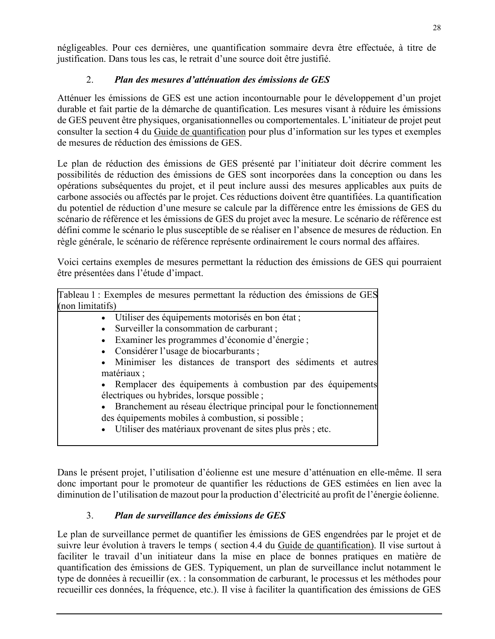négligeables. Pour ces dernières, une quantification sommaire devra être effectuée, à titre de justification. Dans tous les cas, le retrait d'une source doit être justifié.

# 2. *Plan des mesures d'atténuation des émissions de GES*

Atténuer les émissions de GES est une action incontournable pour le développement d'un projet durable et fait partie de la démarche de quantification. Les mesures visant à réduire les émissions de GES peuvent être physiques, organisationnelles ou comportementales. L'initiateur de projet peut consulter la section 4 du [Guide de quantification](http://www.environnement.gouv.qc.ca/changements/ges/guide-quantification/guide-quantification-ges.pdf) pour plus d'information sur les types et exemples de mesures de réduction des émissions de GES.

Le plan de réduction des émissions de GES présenté par l'initiateur doit décrire comment les possibilités de réduction des émissions de GES sont incorporées dans la conception ou dans les opérations subséquentes du projet, et il peut inclure aussi des mesures applicables aux puits de carbone associés ou affectés par le projet. Ces réductions doivent être quantifiées. La quantification du potentiel de réduction d'une mesure se calcule par la différence entre les émissions de GES du scénario de référence et les émissions de GES du projet avec la mesure. Le scénario de référence est défini comme le scénario le plus susceptible de se réaliser en l'absence de mesures de réduction. En règle générale, le scénario de référence représente ordinairement le cours normal des affaires.

Voici certains exemples de mesures permettant la réduction des émissions de GES qui pourraient être présentées dans l'étude d'impact.

Tableau 1 : Exemples de mesures permettant la réduction des émissions de GES (non limitatifs)

- Utiliser des équipements motorisés en bon état ;
- Surveiller la consommation de carburant ;
- Examiner les programmes d'économie d'énergie ;
- Considérer l'usage de biocarburants ;
- Minimiser les distances de transport des sédiments et autres matériaux ;
- Remplacer des équipements à combustion par des équipements électriques ou hybrides, lorsque possible ;
- Branchement au réseau électrique principal pour le fonctionnement des équipements mobiles à combustion, si possible ;
- Utiliser des matériaux provenant de sites plus près ; etc.

Dans le présent projet, l'utilisation d'éolienne est une mesure d'atténuation en elle-même. Il sera donc important pour le promoteur de quantifier les réductions de GES estimées en lien avec la diminution de l'utilisation de mazout pour la production d'électricité au profit de l'énergie éolienne.

## 3. *Plan de surveillance des émissions de GES*

Le plan de surveillance permet de quantifier les émissions de GES engendrées par le projet et de suivre leur évolution à travers le temps ( section 4.4 du [Guide de quantification\)](http://www.environnement.gouv.qc.ca/changements/ges/guide-quantification/guide-quantification-ges.pdf). Il vise surtout à faciliter le travail d'un initiateur dans la mise en place de bonnes pratiques en matière de quantification des émissions de GES. Typiquement, un plan de surveillance inclut notamment le type de données à recueillir (ex. : la consommation de carburant, le processus et les méthodes pour recueillir ces données, la fréquence, etc.). Il vise à faciliter la quantification des émissions de GES